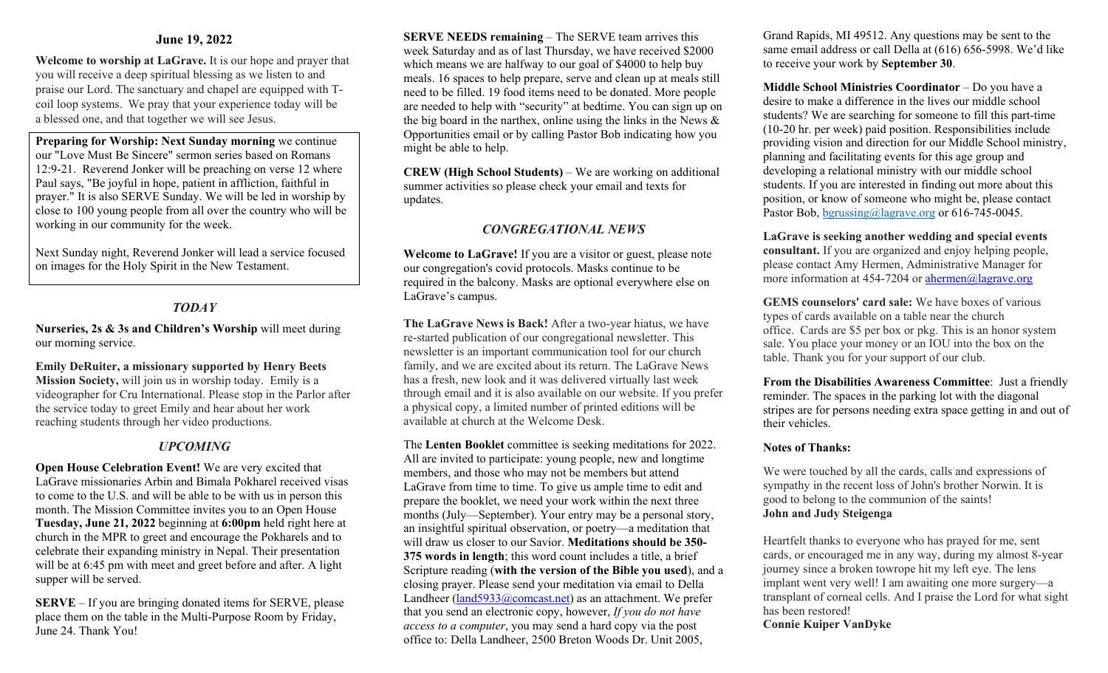## **June 19, 2022**

**Welcome to worship at LaGrave.** It is our hope and prayer that you will receive a deep spiritual blessing as we listen to and praise our Lord. The sanctuary and chapel are equipped with Tcoil loop systems. We pray that your experience today will be a blessed one, and that together we will see Jesus.

**Preparing for Worship: Next Sunday morning** we continue our "Love Must Be Sincere" sermon series based on Romans 12:9-21. Reverend Jonker will be preaching on verse 12 where Paul says, "Be joyful in hope, patient in affliction, faithful in prayer." It is also SERVE Sunday. We will be led in worship by close to 100 young people from all over the country who will be working in our community for the week.

Next Sunday night, Reverend Jonker will lead a service focused on images for the Holy Spirit in the New Testament.

# *TODAY*

**Nurseries, 2s & 3s and Children's Worship** will meet during our morning service.

#### **Emily DeRuiter, a missionary supported by Henry Beets**

**Mission Society,** will join us in worship today. Emily is a videographer for Cru International. Please stop in the Parlor after the service today to greet Emily and hear about her work reaching students through her video productions.

## *UPCOMING*

**Open House Celebration Event!** We are very excited that LaGrave missionaries Arbin and Bimala Pokharel received visas to come to the U.S. and will be able to be with us in person this month. The Mission Committee invites you to an Open House **Tuesday, June 21, 2022** beginning at **6:00pm** held right here at church in the MPR to greet and encourage the Pokharels and to celebrate their expanding ministry in Nepal. Their presentation will be at 6:45 pm with meet and greet before and after. A light supper will be served.

**SERVE** – If you are bringing donated items for SERVE, please place them on the table in the Multi-Purpose Room by Friday, June 24. Thank You!

**SERVE NEEDS remaining** – The SERVE team arrives this week Saturday and as of last Thursday, we have received \$2000 which means we are halfway to our goal of \$4000 to help buy meals. 16 spaces to help prepare, serve and clean up at meals still need to be filled. 19 food items need to be donated. More people are needed to help with "security" at bedtime. You can sign up on the big board in the narthex, online using the links in the News & Opportunities email or by calling Pastor Bob indicating how you might be able to help.

**CREW (High School Students)** – We are working on additional summer activities so please check your email and texts for updates.

## *CONGREGATIONAL NEWS*

**Welcome to LaGrave!** If you are a visitor or guest, please note our congregation's covid protocols. Masks continue to be required in the balcony. Masks are optional everywhere else on LaGrave's campus.

**The LaGrave News is Back!** After a two-year hiatus, we have re-started publication of our congregational newsletter. This newsletter is an important communication tool for our church family, and we are excited about its return. The LaGrave News has a fresh, new look and it was delivered virtually last week through email and it is also available on our website. If you prefer a physical copy, a limited number of printed editions will be available at church at the Welcome Desk.

The **Lenten Booklet** committee is seeking meditations for 2022. All are invited to participate: young people, new and longtime members, and those who may not be members but attend LaGrave from time to time. To give us ample time to edit and prepare the booklet, we need your work within the next three months (July—September). Your entry may be a personal story, an insightful spiritual observation, or poetry—a meditation that will draw us closer to our Savior. **Meditations should be 350- 375 words in length**; this word count includes a title, a brief Scripture reading (**with the version of the Bible you used**), and a closing prayer. Please send your meditation via email to Della Landheer  $(land5933@comcast.net)$  as an attachment. We prefer that you send an electronic copy, however, *If you do not have access to a computer*, you may send a hard copy via the post office to: Della Landheer, 2500 Breton Woods Dr. Unit 2005,

Grand Rapids, MI 49512. Any questions may be sent to the same email address or call Della at (616) 656-5998. We'd like to receive your work by **September 30**.

**Middle School Ministries Coordinator** – Do you have a desire to make a difference in the lives our middle school students? We are searching for someone to fill this part-time (10-20 hr. per week) paid position. Responsibilities include providing vision and direction for our Middle School ministry, planning and facilitating events for this age group and developing a relational ministry with our middle school students. If you are interested in finding out more about this position, or know of someone who might be, please contact Pastor Bob, [bgrussing@lagrave.org](mailto:bgrussing@lagrave.org) or 616-745-0045.

**LaGrave is seeking another wedding and special events consultant.** If you are organized and enjoy helping people, please contact Amy Hermen, Administrative Manager for more information at 454-7204 or  $ahermen@lagrave.org$ 

**GEMS counselors' card sale:** We have boxes of various types of cards available on a table near the church office. Cards are \$5 per box or pkg. This is an honor system sale. You place your money or an IOU into the box on the table. Thank you for your support of our club.

**From the Disabilities Awareness Committee**: Just a friendly reminder. The spaces in the parking lot with the diagonal stripes are for persons needing extra space getting in and out of their vehicles.

#### **Notes of Thanks:**

We were touched by all the cards, calls and expressions of sympathy in the recent loss of John's brother Norwin. It is good to belong to the communion of the saints! **John and Judy Steigenga** 

Heartfelt thanks to everyone who has prayed for me, sent cards, or encouraged me in any way, during my almost 8-year journey since a broken towrope hit my left eye. The lens implant went very well! I am awaiting one more surgery—a transplant of corneal cells. And I praise the Lord for what sight has been restored! **Connie Kuiper VanDyke**